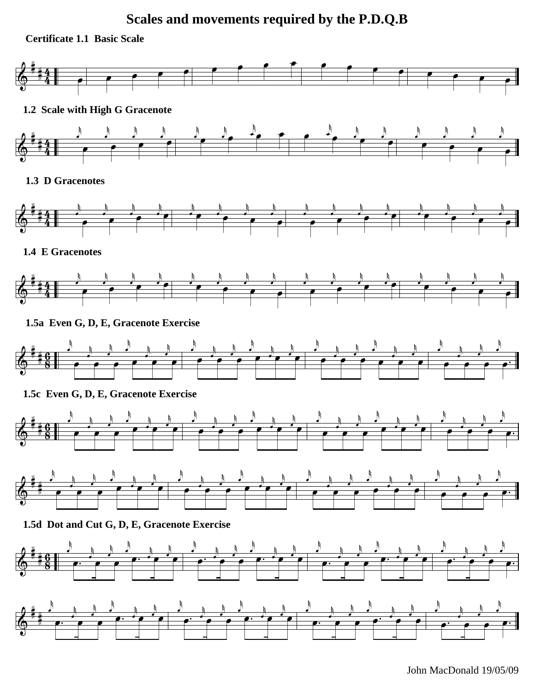# **Scales and movements required by the P.D.Q.B**





John MacDonald 19/05/09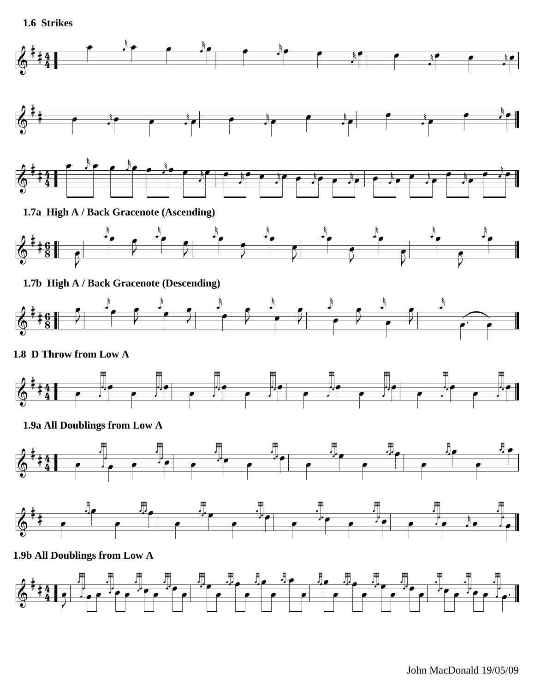**1.6 Strikes**

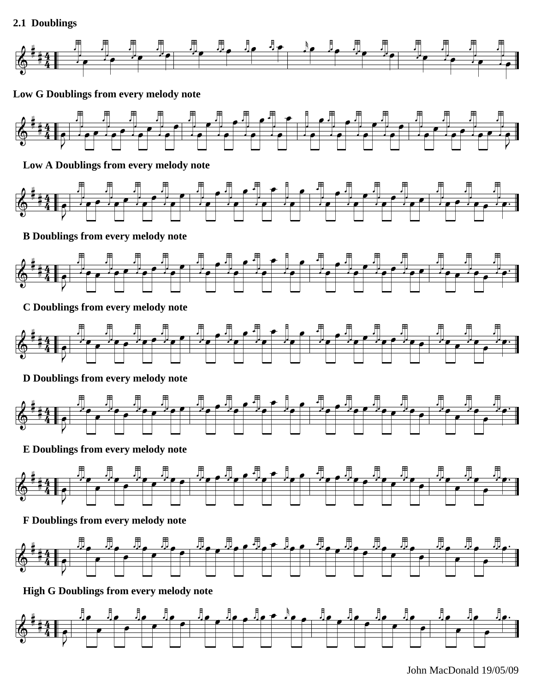### **2.1 Doublings**



 **Low G Doublings from every melody note**



**Low A Doublings from every melody note**



**B Doublings from every melody note**



**C Doublings from every melody note**



## **D Doublings from every melody note**



**E Doublings from every melody note**



**F Doublings from every melody note**



**High G Doublings from every melody note**



John MacDonald 19/05/09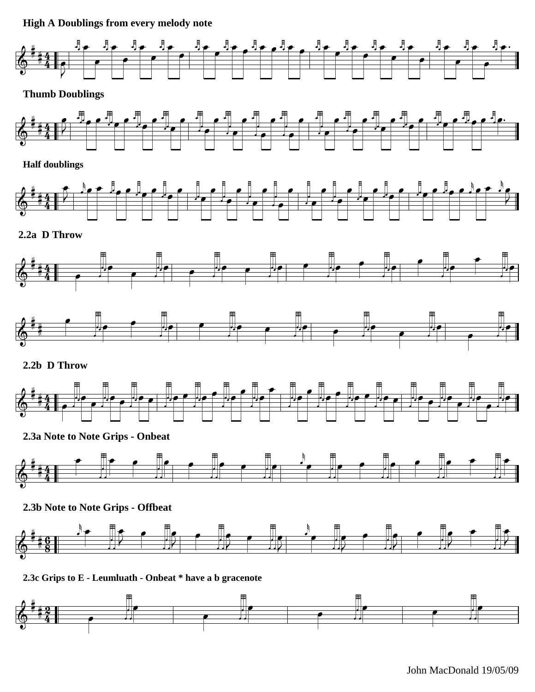**High A Doublings from every melody note**



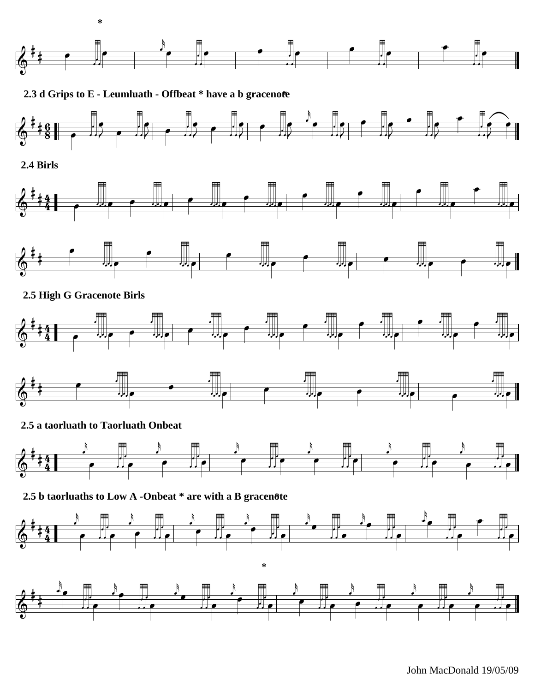

2.3 d Grips to E - Leumluath - Offbeat \* have a b gracenote



2.4 Birls





#### 2.5 High G Gracenote Birls





#### 2.5 a taorluath to Taorluath Onbeat



2.5 b taorluaths to Low A -Onbeat \* are with a B gracenote